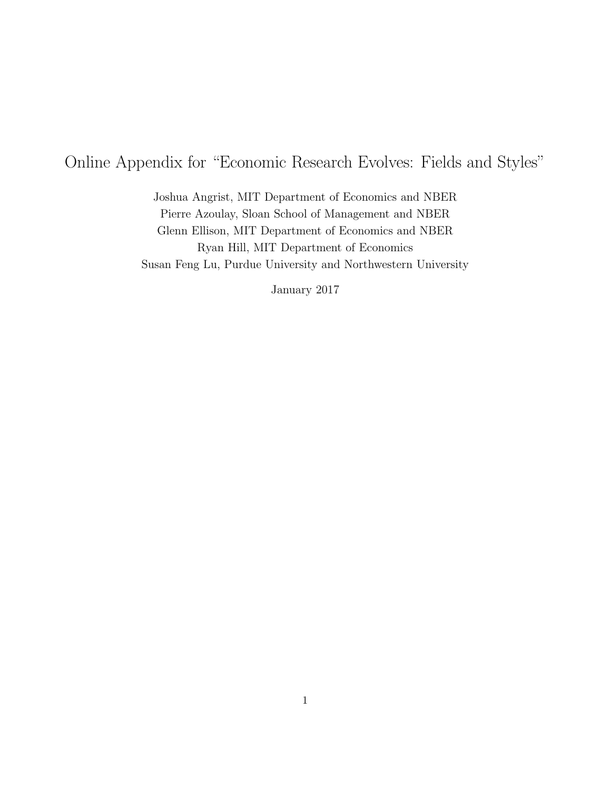# Online Appendix for "Economic Research Evolves: Fields and Styles"

Joshua Angrist, MIT Department of Economics and NBER Pierre Azoulay, Sloan School of Management and NBER Glenn Ellison, MIT Department of Economics and NBER Ryan Hill, MIT Department of Economics Susan Feng Lu, Purdue University and Northwestern University

January 2017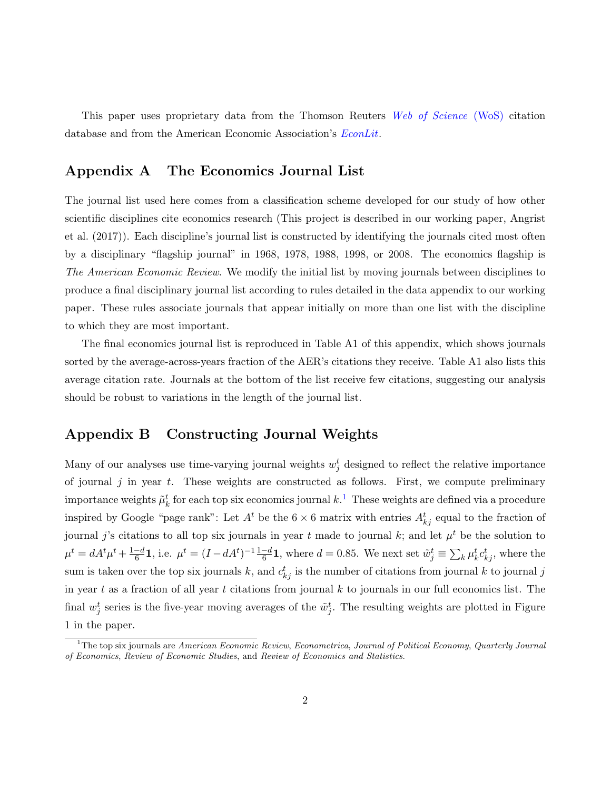This paper uses proprietary data from the Thomson Reuters [Web of Science](http://clarivate.com/scientific-and-academic-research/research-discovery/web-of-science/?utm_source=false&utm_medium=false&utm_campaign=false) (WoS) citation database and from the American Economic Association's *[EconLit](https://www.aeaweb.org/econlit/)*.

# Appendix A The Economics Journal List

The journal list used here comes from a classification scheme developed for our study of how other scientific disciplines cite economics research (This project is described in our working paper, [Angrist](#page-10-0) [et al.](#page-10-0) [\(2017\)](#page-10-0)). Each discipline's journal list is constructed by identifying the journals cited most often by a disciplinary "flagship journal" in 1968, 1978, 1988, 1998, or 2008. The economics flagship is The American Economic Review. We modify the initial list by moving journals between disciplines to produce a final disciplinary journal list according to rules detailed in the data appendix to our working paper. These rules associate journals that appear initially on more than one list with the discipline to which they are most important.

The final economics journal list is reproduced in Table A1 of this appendix, which shows journals sorted by the average-across-years fraction of the AER's citations they receive. Table A1 also lists this average citation rate. Journals at the bottom of the list receive few citations, suggesting our analysis should be robust to variations in the length of the journal list.

# Appendix B Constructing Journal Weights

Many of our analyses use time-varying journal weights  $w_j^t$  designed to reflect the relative importance of journal  $j$  in year  $t$ . These weights are constructed as follows. First, we compute preliminary importance weights  $\tilde{\mu}_k^t$  for each top six economics journal  $k.$ <sup>[1](#page-1-0)</sup> These weights are defined via a procedure inspired by Google "page rank": Let  $A^t$  be the  $6 \times 6$  matrix with entries  $A_{kj}^t$  equal to the fraction of journal j's citations to all top six journals in year t made to journal k; and let  $\mu^t$  be the solution to  $\mu^t = dA^t \mu^t + \frac{1-d}{6}$  $\frac{d-4}{6}$ 1, i.e.  $\mu^t = (I - dA^t)^{-1} \frac{1-d}{6}$ 1, where  $d = 0.85$ . We next set  $\tilde{w}_j^t \equiv \sum_k \mu_k^t c_{kj}^t$ , where the sum is taken over the top six journals k, and  $c_{kj}^t$  is the number of citations from journal k to journal j in year t as a fraction of all year t citations from journal  $k$  to journals in our full economics list. The final  $w_j^t$  series is the five-year moving averages of the  $\tilde{w}_j^t$ . The resulting weights are plotted in Figure 1 in the paper.

<span id="page-1-0"></span> $1<sup>1</sup>$ The top six journals are American Economic Review, Econometrica, Journal of Political Economy, Quarterly Journal of Economics, Review of Economic Studies, and Review of Economics and Statistics.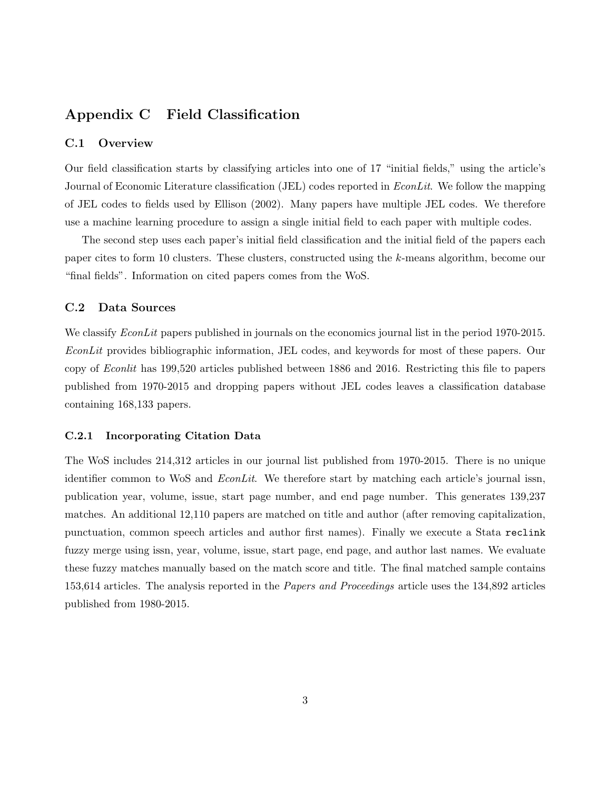# Appendix C Field Classification

### C.1 Overview

Our field classification starts by classifying articles into one of 17 "initial fields," using the article's Journal of Economic Literature classification (JEL) codes reported in *EconLit*. We follow the mapping of JEL codes to fields used by [Ellison](#page-11-0) [\(2002\)](#page-11-0). Many papers have multiple JEL codes. We therefore use a machine learning procedure to assign a single initial field to each paper with multiple codes.

The second step uses each paper's initial field classification and the initial field of the papers each paper cites to form 10 clusters. These clusters, constructed using the k-means algorithm, become our "final fields". Information on cited papers comes from the WoS.

## C.2 Data Sources

We classify *EconLit* papers published in journals on the economics journal list in the period 1970-2015. EconLit provides bibliographic information, JEL codes, and keywords for most of these papers. Our copy of Econlit has 199,520 articles published between 1886 and 2016. Restricting this file to papers published from 1970-2015 and dropping papers without JEL codes leaves a classification database containing 168,133 papers.

#### C.2.1 Incorporating Citation Data

The WoS includes 214,312 articles in our journal list published from 1970-2015. There is no unique identifier common to WoS and *EconLit*. We therefore start by matching each article's journal issn, publication year, volume, issue, start page number, and end page number. This generates 139,237 matches. An additional 12,110 papers are matched on title and author (after removing capitalization, punctuation, common speech articles and author first names). Finally we execute a Stata reclink fuzzy merge using issn, year, volume, issue, start page, end page, and author last names. We evaluate these fuzzy matches manually based on the match score and title. The final matched sample contains 153,614 articles. The analysis reported in the *Papers and Proceedings* article uses the 134,892 articles published from 1980-2015.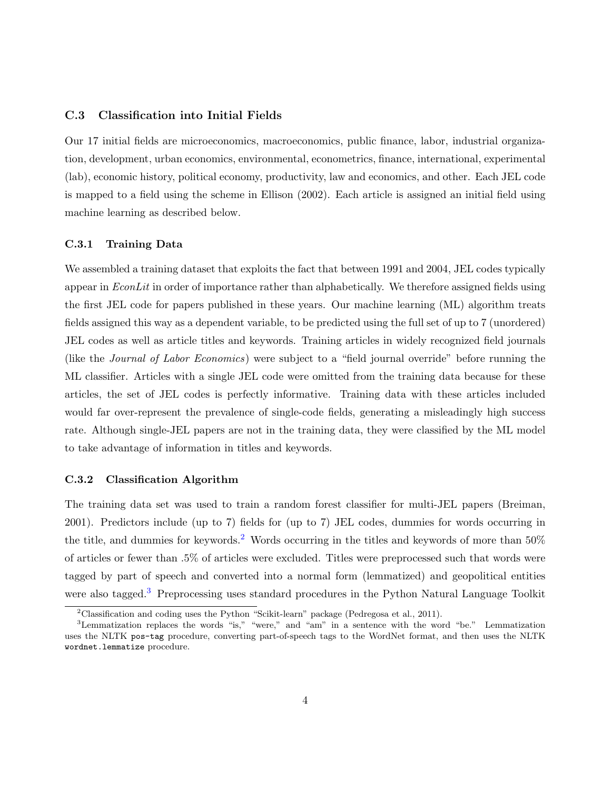### C.3 Classification into Initial Fields

Our 17 initial fields are microeconomics, macroeconomics, public finance, labor, industrial organization, development, urban economics, environmental, econometrics, finance, international, experimental (lab), economic history, political economy, productivity, law and economics, and other. Each JEL code is mapped to a field using the scheme in [Ellison](#page-11-0) [\(2002\)](#page-11-0). Each article is assigned an initial field using machine learning as described below.

#### C.3.1 Training Data

We assembled a training dataset that exploits the fact that between 1991 and 2004, JEL codes typically appear in  $EconLit$  in order of importance rather than alphabetically. We therefore assigned fields using the first JEL code for papers published in these years. Our machine learning (ML) algorithm treats fields assigned this way as a dependent variable, to be predicted using the full set of up to 7 (unordered) JEL codes as well as article titles and keywords. Training articles in widely recognized field journals (like the Journal of Labor Economics) were subject to a "field journal override" before running the ML classifier. Articles with a single JEL code were omitted from the training data because for these articles, the set of JEL codes is perfectly informative. Training data with these articles included would far over-represent the prevalence of single-code fields, generating a misleadingly high success rate. Although single-JEL papers are not in the training data, they were classified by the ML model to take advantage of information in titles and keywords.

#### C.3.2 Classification Algorithm

The training data set was used to train a random forest classifier for multi-JEL papers [\(Breiman,](#page-10-1) [2001\)](#page-10-1). Predictors include (up to 7) fields for (up to 7) JEL codes, dummies for words occurring in the title, and dummies for keywords.<sup>[2](#page-3-0)</sup> Words occurring in the titles and keywords of more than  $50\%$ of articles or fewer than .5% of articles were excluded. Titles were preprocessed such that words were tagged by part of speech and converted into a normal form (lemmatized) and geopolitical entities were also tagged.<sup>[3](#page-3-1)</sup> Preprocessing uses standard procedures in the Python Natural Language Toolkit

<span id="page-3-1"></span><span id="page-3-0"></span><sup>2</sup>Classification and coding uses the Python "Scikit-learn" package [\(Pedregosa et al.,](#page-11-1) [2011\)](#page-11-1).

<sup>3</sup>Lemmatization replaces the words "is," "were," and "am" in a sentence with the word "be." Lemmatization uses the NLTK pos-tag procedure, converting part-of-speech tags to the WordNet format, and then uses the NLTK wordnet.lemmatize procedure.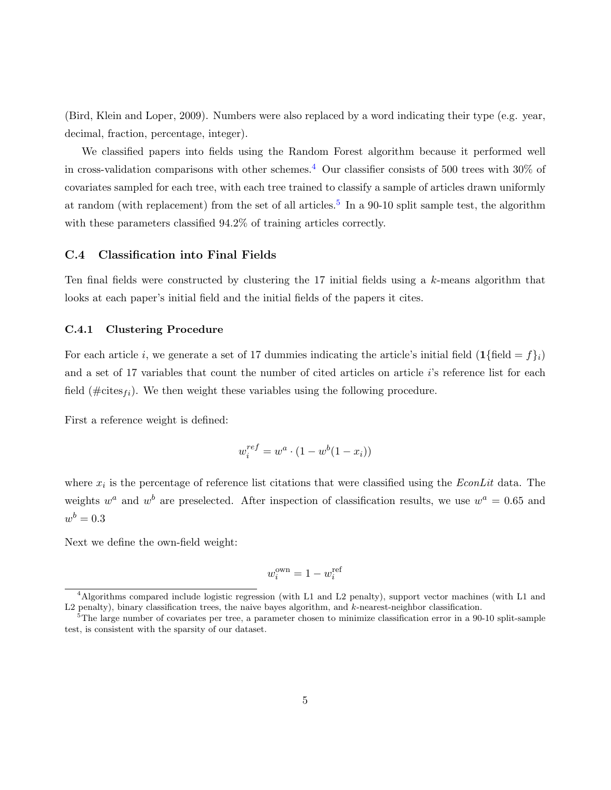[\(Bird, Klein and Loper,](#page-10-2) [2009\)](#page-10-2). Numbers were also replaced by a word indicating their type (e.g. year, decimal, fraction, percentage, integer).

We classified papers into fields using the Random Forest algorithm because it performed well in cross-validation comparisons with other schemes.<sup>[4](#page-4-0)</sup> Our classifier consists of 500 trees with 30% of covariates sampled for each tree, with each tree trained to classify a sample of articles drawn uniformly at random (with replacement) from the set of all articles.<sup>[5](#page-4-1)</sup> In a 90-10 split sample test, the algorithm with these parameters classified  $94.2\%$  of training articles correctly.

#### C.4 Classification into Final Fields

Ten final fields were constructed by clustering the  $17$  initial fields using a  $k$ -means algorithm that looks at each paper's initial field and the initial fields of the papers it cites.

#### C.4.1 Clustering Procedure

For each article i, we generate a set of 17 dummies indicating the article's initial field  $(1\{\text{field} = f\}_i)$ and a set of 17 variables that count the number of cited articles on article i's reference list for each field ( $\# \text{cites}_{fi}$ ). We then weight these variables using the following procedure.

First a reference weight is defined:

$$
w_i^{ref} = w^a \cdot (1 - w^b (1 - x_i))
$$

where  $x_i$  is the percentage of reference list citations that were classified using the  $EconLit$  data. The weights  $w^a$  and  $w^b$  are preselected. After inspection of classification results, we use  $w^a = 0.65$  and  $w^b = 0.3$ 

Next we define the own-field weight:

$$
w_i^{\text{own}} = 1 - w_i^{\text{ref}}
$$

<span id="page-4-0"></span><sup>&</sup>lt;sup>4</sup>Algorithms compared include logistic regression (with L1 and L2 penalty), support vector machines (with L1 and L2 penalty), binary classification trees, the naive bayes algorithm, and k-nearest-neighbor classification.

<span id="page-4-1"></span><sup>&</sup>lt;sup>5</sup>The large number of covariates per tree, a parameter chosen to minimize classification error in a 90-10 split-sample test, is consistent with the sparsity of our dataset.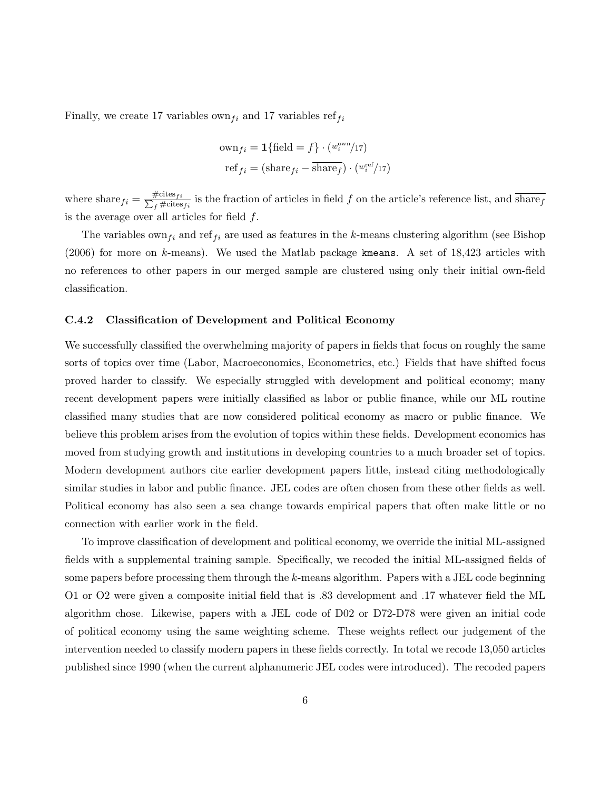Finally, we create 17 variables own  $f_i$  and 17 variables ref $f_i$ 

$$
\text{own}_{fi} = \mathbf{1}\{\text{field} = f\} \cdot (w_i^{\text{own}}/17)
$$

$$
\text{ref}_{fi} = (\text{share}_{fi} - \overline{\text{share}_{f}}) \cdot (w_i^{\text{ref}}/17)
$$

where  $\text{share}_{fi} = \frac{\text{\#cites}}{\sum_{f} \text{\#cites}}$  $\frac{f^{\text{f}}(t)}{f^{\text{f}}(t)}$  is the fraction of articles in field f on the article's reference list, and sharef is the average over all articles for field  $f$ .

The variables own<sub>f</sub> and ref<sub>f</sub> are used as features in the k-means clustering algorithm (see [Bishop](#page-10-3)  $(2006)$  for more on k-means). We used the Matlab package kmeans. A set of 18,423 articles with no references to other papers in our merged sample are clustered using only their initial own-field classification.

#### C.4.2 Classification of Development and Political Economy

We successfully classified the overwhelming majority of papers in fields that focus on roughly the same sorts of topics over time (Labor, Macroeconomics, Econometrics, etc.) Fields that have shifted focus proved harder to classify. We especially struggled with development and political economy; many recent development papers were initially classified as labor or public finance, while our ML routine classified many studies that are now considered political economy as macro or public finance. We believe this problem arises from the evolution of topics within these fields. Development economics has moved from studying growth and institutions in developing countries to a much broader set of topics. Modern development authors cite earlier development papers little, instead citing methodologically similar studies in labor and public finance. JEL codes are often chosen from these other fields as well. Political economy has also seen a sea change towards empirical papers that often make little or no connection with earlier work in the field.

To improve classification of development and political economy, we override the initial ML-assigned fields with a supplemental training sample. Specifically, we recoded the initial ML-assigned fields of some papers before processing them through the k-means algorithm. Papers with a JEL code beginning O1 or O2 were given a composite initial field that is .83 development and .17 whatever field the ML algorithm chose. Likewise, papers with a JEL code of D02 or D72-D78 were given an initial code of political economy using the same weighting scheme. These weights reflect our judgement of the intervention needed to classify modern papers in these fields correctly. In total we recode 13,050 articles published since 1990 (when the current alphanumeric JEL codes were introduced). The recoded papers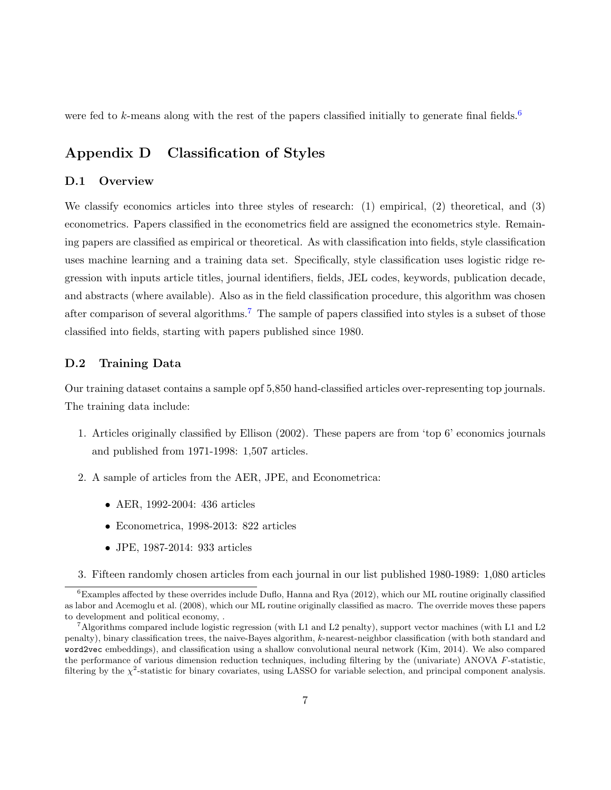were fed to k-means along with the rest of the papers classified initially to generate final fields.<sup>[6](#page-6-0)</sup>

# Appendix D Classification of Styles

## D.1 Overview

We classify economics articles into three styles of research: (1) empirical, (2) theoretical, and (3) econometrics. Papers classified in the econometrics field are assigned the econometrics style. Remaining papers are classified as empirical or theoretical. As with classification into fields, style classification uses machine learning and a training data set. Specifically, style classification uses logistic ridge regression with inputs article titles, journal identifiers, fields, JEL codes, keywords, publication decade, and abstracts (where available). Also as in the field classification procedure, this algorithm was chosen after comparison of several algorithms.<sup>[7](#page-6-1)</sup> The sample of papers classified into styles is a subset of those classified into fields, starting with papers published since 1980.

### D.2 Training Data

Our training dataset contains a sample opf 5,850 hand-classified articles over-representing top journals. The training data include:

- 1. Articles originally classified by Ellison (2002). These papers are from 'top 6' economics journals and published from 1971-1998: 1,507 articles.
- 2. A sample of articles from the AER, JPE, and Econometrica:
	- AER, 1992-2004: 436 articles
	- Econometrica, 1998-2013: 822 articles
	- JPE, 1987-2014: 933 articles
- <span id="page-6-0"></span>3. Fifteen randomly chosen articles from each journal in our list published 1980-1989: 1,080 articles

 ${}^{6}$ Examples affected by these overrides include [Duflo, Hanna and Rya](#page-11-2) [\(2012\)](#page-11-2), which our ML routine originally classified as labor and [Acemoglu et al.](#page-10-4) [\(2008\)](#page-10-4), which our ML routine originally classified as macro. The override moves these papers to development and political economy, .

<span id="page-6-1"></span><sup>&</sup>lt;sup>7</sup>Algorithms compared include logistic regression (with L1 and L2 penalty), support vector machines (with L1 and L2 penalty), binary classification trees, the naive-Bayes algorithm, k-nearest-neighbor classification (with both standard and word2vec embeddings), and classification using a shallow convolutional neural network [\(Kim,](#page-11-3) [2014\)](#page-11-3). We also compared the performance of various dimension reduction techniques, including filtering by the (univariate) ANOVA F-statistic, filtering by the  $\chi^2$ -statistic for binary covariates, using LASSO for variable selection, and principal component analysis.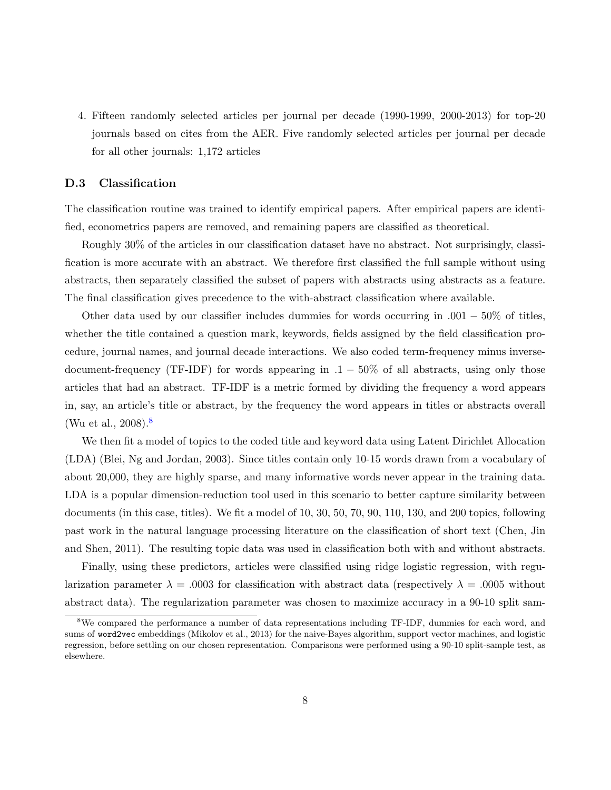4. Fifteen randomly selected articles per journal per decade (1990-1999, 2000-2013) for top-20 journals based on cites from the AER. Five randomly selected articles per journal per decade for all other journals: 1,172 articles

### D.3 Classification

The classification routine was trained to identify empirical papers. After empirical papers are identified, econometrics papers are removed, and remaining papers are classified as theoretical.

Roughly 30% of the articles in our classification dataset have no abstract. Not surprisingly, classification is more accurate with an abstract. We therefore first classified the full sample without using abstracts, then separately classified the subset of papers with abstracts using abstracts as a feature. The final classification gives precedence to the with-abstract classification where available.

Other data used by our classifier includes dummies for words occurring in  $.001 - 50\%$  of titles, whether the title contained a question mark, keywords, fields assigned by the field classification procedure, journal names, and journal decade interactions. We also coded term-frequency minus inversedocument-frequency (TF-IDF) for words appearing in  $.1 - 50\%$  of all abstracts, using only those articles that had an abstract. TF-IDF is a metric formed by dividing the frequency a word appears in, say, an article's title or abstract, by the frequency the word appears in titles or abstracts overall [\(Wu et al.,](#page-11-4)  $2008$  $2008$ ).<sup>8</sup>

We then fit a model of topics to the coded title and keyword data using Latent Dirichlet Allocation (LDA) [\(Blei, Ng and Jordan,](#page-10-5) [2003\)](#page-10-5). Since titles contain only 10-15 words drawn from a vocabulary of about 20,000, they are highly sparse, and many informative words never appear in the training data. LDA is a popular dimension-reduction tool used in this scenario to better capture similarity between documents (in this case, titles). We fit a model of 10, 30, 50, 70, 90, 110, 130, and 200 topics, following past work in the natural language processing literature on the classification of short text [\(Chen, Jin](#page-10-6) [and Shen,](#page-10-6) [2011\)](#page-10-6). The resulting topic data was used in classification both with and without abstracts.

Finally, using these predictors, articles were classified using ridge logistic regression, with regularization parameter  $\lambda = 0.0003$  for classification with abstract data (respectively  $\lambda = 0.0005$  without abstract data). The regularization parameter was chosen to maximize accuracy in a 90-10 split sam-

<span id="page-7-0"></span><sup>&</sup>lt;sup>8</sup>We compared the performance a number of data representations including TF-IDF, dummies for each word, and sums of word2vec embeddings [\(Mikolov et al.,](#page-11-5) [2013\)](#page-11-5) for the naive-Bayes algorithm, support vector machines, and logistic regression, before settling on our chosen representation. Comparisons were performed using a 90-10 split-sample test, as elsewhere.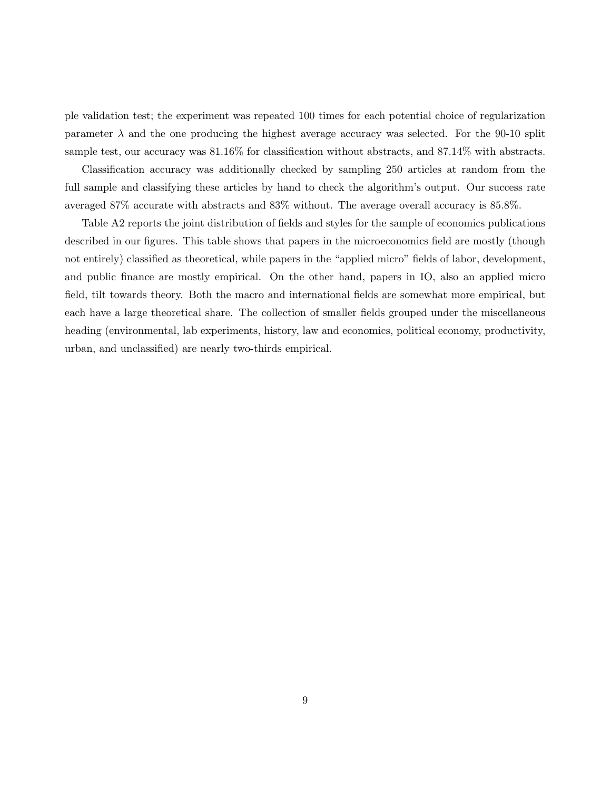ple validation test; the experiment was repeated 100 times for each potential choice of regularization parameter  $\lambda$  and the one producing the highest average accuracy was selected. For the 90-10 split sample test, our accuracy was 81.16% for classification without abstracts, and 87.14% with abstracts.

Classification accuracy was additionally checked by sampling 250 articles at random from the full sample and classifying these articles by hand to check the algorithm's output. Our success rate averaged 87% accurate with abstracts and 83% without. The average overall accuracy is 85.8%.

Table A2 reports the joint distribution of fields and styles for the sample of economics publications described in our figures. This table shows that papers in the microeconomics field are mostly (though not entirely) classified as theoretical, while papers in the "applied micro" fields of labor, development, and public finance are mostly empirical. On the other hand, papers in IO, also an applied micro field, tilt towards theory. Both the macro and international fields are somewhat more empirical, but each have a large theoretical share. The collection of smaller fields grouped under the miscellaneous heading (environmental, lab experiments, history, law and economics, political economy, productivity, urban, and unclassified) are nearly two-thirds empirical.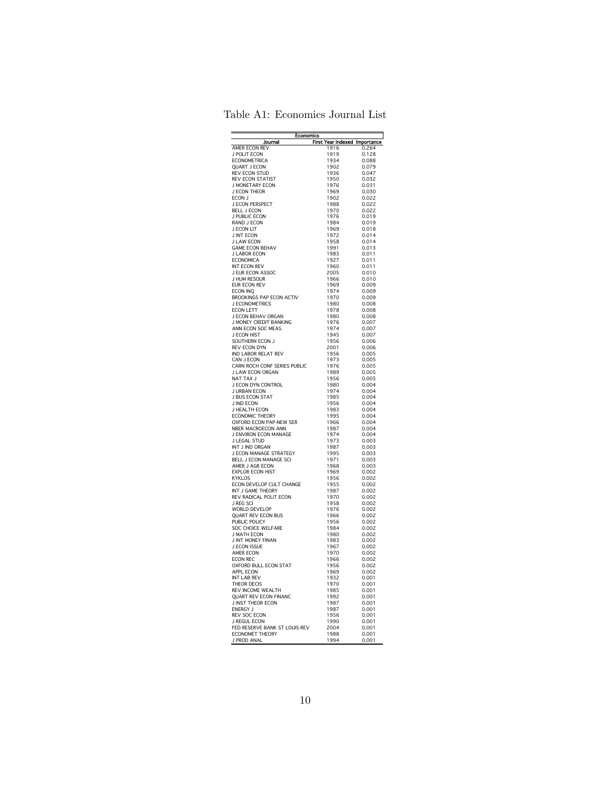|  | Table A1: Economics Journal List |  |  |
|--|----------------------------------|--|--|
|--|----------------------------------|--|--|

| <b>Economics</b>                              |                               |                |  |  |  |
|-----------------------------------------------|-------------------------------|----------------|--|--|--|
| Journal                                       | First Year Indexed Importance |                |  |  |  |
| <b>AMER ECON REV</b>                          | 1916                          | 0.264          |  |  |  |
| J POLIT ECON<br><b>ECONOMETRICA</b>           | 1919<br>1934                  | 0.128<br>0.088 |  |  |  |
| <b>OUART J ECON</b>                           | 1902                          | 0.079          |  |  |  |
| <b>REV ECON STUD</b>                          | 1936                          | 0.047          |  |  |  |
| <b>REV ECON STATIST</b>                       | 1950                          | 0.032          |  |  |  |
| J MONETARY ECON                               | 1976                          | 0.031          |  |  |  |
| J ECON THEOR                                  | 1969                          | 0.030          |  |  |  |
| ECON J                                        | 1902                          | 0.022          |  |  |  |
| J ECON PERSPECT<br><b>BELL J ECON</b>         | 1988<br>1970                  | 0.022<br>0.022 |  |  |  |
| J PUBLIC ECON                                 | 1976                          | 0.019          |  |  |  |
| RAND J ECON                                   | 1984                          | 0.019          |  |  |  |
| J ECON LIT                                    | 1969                          | 0.018          |  |  |  |
| <b>J INT ECON</b>                             | 1972                          | 0.014          |  |  |  |
| J LAW ECON                                    | 1958                          | 0.014          |  |  |  |
| <b>GAME ECON BEHAV</b>                        | 1991                          | 0.013          |  |  |  |
| <b>J LABOR ECON</b>                           | 1983                          | 0.011          |  |  |  |
| <b>ECONOMICA</b><br>INT FCON RFV              | 1927<br>1960                  | 0.011<br>0.011 |  |  |  |
| J EUR ECON ASSOC                              | 2005                          | 0.010          |  |  |  |
| J HUM RESOUR                                  | 1966                          | 0.010          |  |  |  |
| EUR ECON REV                                  | 1969                          | 0.009          |  |  |  |
| <b>ECON INQ</b>                               | 1974                          | 0.009          |  |  |  |
| <b>BROOKINGS PAP ECON ACTIV</b>               | 1970                          | 0.009          |  |  |  |
| J ECONOMETRICS                                | 1980                          | 0.008          |  |  |  |
| <b>ECON LETT</b>                              | 1978                          | 0.008          |  |  |  |
| J ECON BEHAV ORGAN                            | 1980                          | 0.008          |  |  |  |
| J MONEY CREDIT BANKING<br>ANN ECON SOC MEAS   | 1976<br>1974                  | 0.007<br>0.007 |  |  |  |
| J ECON HIST                                   | 1945                          | 0.007          |  |  |  |
| SOUTHERN ECON J                               | 1956                          | 0.006          |  |  |  |
| REV ECON DYN                                  | 2001                          | 0.006          |  |  |  |
| IND LABOR RELAT REV                           | 1956                          | 0.005          |  |  |  |
| CAN J FCON                                    | 1973                          | 0.005          |  |  |  |
| CARN ROCH CONF SERIES PUBLIC                  | 1976                          | 0.005          |  |  |  |
| J LAW ECON ORGAN<br>NAT TAX J                 | 1989<br>1956                  | 0.005<br>0.005 |  |  |  |
| J ECON DYN CONTROL                            | 1980                          | 0.004          |  |  |  |
| J URBAN FCON                                  | 1974                          | 0.004          |  |  |  |
| J BUS ECON STAT                               | 1985                          | 0.004          |  |  |  |
| J IND ECON                                    | 1956                          | 0.004          |  |  |  |
| J HEALTH ECON                                 | 1983                          | 0.004          |  |  |  |
| <b>ECONOMIC THEORY</b>                        | 1995                          | 0.004          |  |  |  |
| OXFORD ECON PAP-NEW SER                       | 1966                          | 0.004          |  |  |  |
| NBER MACROECON ANN<br>J ENVIRON ECON MANAGE   | 1987<br>1974                  | 0.004<br>0.004 |  |  |  |
| J LEGAL STUD                                  | 1973                          | 0.003          |  |  |  |
| INT J IND ORGAN                               | 1987                          | 0.003          |  |  |  |
| J ECON MANAGE STRATEGY                        | 1995                          | 0.003          |  |  |  |
| BELL J ECON MANAGE SCI                        | 1971                          | 0.003          |  |  |  |
| AMER J AGR ECON                               | 1968                          | 0.003          |  |  |  |
| <b>EXPLOR ECON HIST</b>                       | 1969                          | 0.002          |  |  |  |
| <b>KYKLOS</b>                                 | 1956<br>1955                  | 0.002          |  |  |  |
| ECON DEVELOP CULT CHANGE<br>INT J GAME THEORY | 1987                          | 0.002          |  |  |  |
| REV RADICAL POLIT ECON                        | 1970                          | 0.002<br>0.002 |  |  |  |
| J REG SCI                                     | 1958                          | 0.002          |  |  |  |
| <b>WORLD DEVELOP</b>                          | 1976                          | 0.002          |  |  |  |
| <b>QUART REV ECON BUS</b>                     | 1966                          | 0.002          |  |  |  |
| PUBLIC POLICY                                 | 1956                          | 0.002          |  |  |  |
| SOC CHOICE WELFARE                            | 1984                          | 0.002          |  |  |  |
| J MATH FCON                                   | 1980                          | 0.002          |  |  |  |
| J INT MONEY FINAN<br>J ECON ISSUE             | 1983<br>1967                  | 0.002<br>0.002 |  |  |  |
| <b>AMER ECON</b>                              | 1970                          | 0.002          |  |  |  |
| <b>ECON REC</b>                               | 1966                          | 0.002          |  |  |  |
| OXFORD BULL ECON STAT                         | 1956                          | 0.002          |  |  |  |
| APPL ECON                                     | 1969                          | 0.002          |  |  |  |
| INT LAB REV                                   | 1932                          | 0.001          |  |  |  |
| THEOR DECIS                                   | 1970                          | 0.001          |  |  |  |
| REV INCOME WEALTH                             | 1985                          | 0.001          |  |  |  |
| QUART REV ECON FINANC                         | 1992                          | 0.001          |  |  |  |
| J INST THEOR ECON<br><b>ENERGY J</b>          | 1987<br>1987                  | 0.001<br>0.001 |  |  |  |
| <b>REV SOC ECON</b>                           | 1956                          | 0.001          |  |  |  |
| J REGUL ECON                                  | 1990                          | 0.001          |  |  |  |
| FED RESERVE BANK ST LOUIS REV                 | 2004                          | 0.001          |  |  |  |
| <b>ECONOMET THEORY</b>                        | 1988                          | 0.001          |  |  |  |
| J PROD ANAL                                   | 1994                          | 0.001          |  |  |  |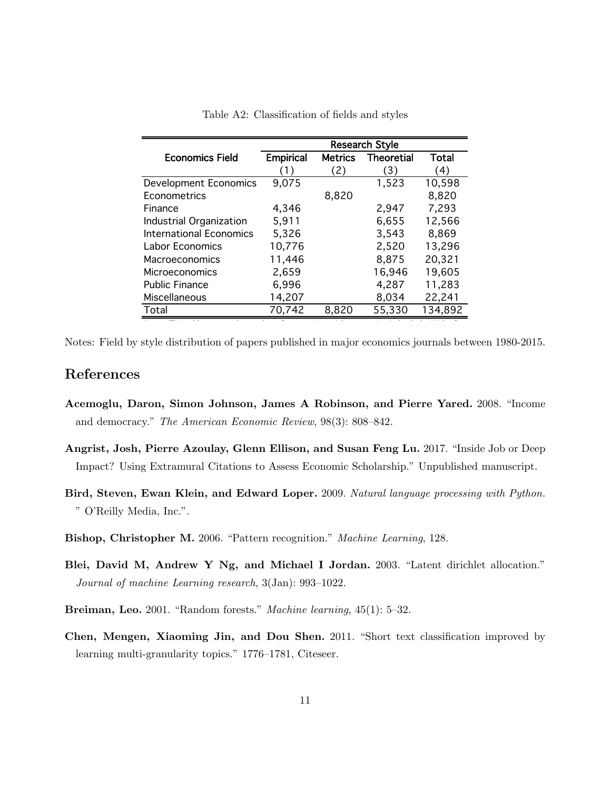|                                | <b>Research Style</b> |                |                   |         |  |
|--------------------------------|-----------------------|----------------|-------------------|---------|--|
| <b>Economics Field</b>         | <b>Empirical</b>      | <b>Metrics</b> | <b>Theoretial</b> | Total   |  |
|                                | (1)                   | (2)            | 〔3〕               | (4)     |  |
| <b>Development Economics</b>   | 9,075                 |                | 1,523             | 10,598  |  |
| Econometrics                   |                       | 8,820          |                   | 8,820   |  |
| Finance                        | 4,346                 |                | 2,947             | 7,293   |  |
| Industrial Organization        | 5,911                 |                | 6,655             | 12,566  |  |
| <b>International Economics</b> | 5,326                 |                | 3,543             | 8,869   |  |
| Labor Economics                | 10,776                |                | 2,520             | 13,296  |  |
| Macroeconomics                 | 11,446                |                | 8,875             | 20,321  |  |
| Microeconomics                 | 2,659                 |                | 16,946            | 19,605  |  |
| <b>Public Finance</b>          | 6,996                 |                | 4,287             | 11,283  |  |
| Miscellaneous                  | 14,207                |                | 8,034             | 22,241  |  |
| Total                          | 70,742                | 8,820          | 55,330            | 134,892 |  |

Table A2: Classification of fields and styles

Notes: This table reports the number of economics articles appearing in both the Web of Science and EconLit by economics field and research style. Initial fields follow the Notes: Field by style distribution of papers published in major economics journals between 1980-2015.

# References

- <span id="page-10-4"></span>Acemoglu, Daron, Simon Johnson, James A Robinson, and Pierre Yared. 2008. "Income and democracy." The American Economic Review, 98(3): 808–842.
- <span id="page-10-0"></span>Angrist, Josh, Pierre Azoulay, Glenn Ellison, and Susan Feng Lu. 2017. "Inside Job or Deep Impact? Using Extramural Citations to Assess Economic Scholarship." Unpublished manuscript.
- <span id="page-10-2"></span>Bird, Steven, Ewan Klein, and Edward Loper. 2009. Natural language processing with Python. " O'Reilly Media, Inc.".
- <span id="page-10-3"></span>Bishop, Christopher M. 2006. "Pattern recognition." Machine Learning, 128.
- <span id="page-10-5"></span>Blei, David M, Andrew Y Ng, and Michael I Jordan. 2003. "Latent dirichlet allocation." Journal of machine Learning research, 3(Jan): 993–1022.
- <span id="page-10-1"></span>Breiman, Leo. 2001. "Random forests." Machine learning, 45(1): 5–32.
- <span id="page-10-6"></span>Chen, Mengen, Xiaoming Jin, and Dou Shen. 2011. "Short text classification improved by learning multi-granularity topics." 1776–1781, Citeseer.